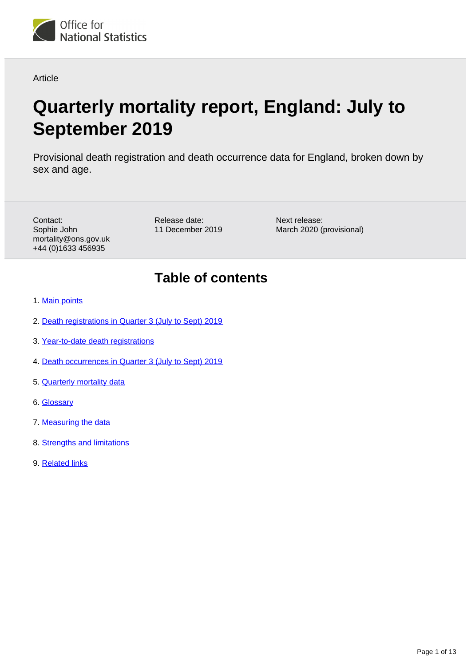

### Article

# **Quarterly mortality report, England: July to September 2019**

Provisional death registration and death occurrence data for England, broken down by sex and age.

Contact: Sophie John mortality@ons.gov.uk +44 (0)1633 456935

Release date: 11 December 2019 Next release: March 2020 (provisional)

## **Table of contents**

- 1. [Main points](#page-1-0)
- 2. [Death registrations in Quarter 3 \(July to Sept\) 2019](#page-1-1)
- 3. [Year-to-date death registrations](#page-5-0)
- 4. [Death occurrences in Quarter 3 \(July to Sept\) 2019](#page-8-0)
- 5. [Quarterly mortality data](#page-9-0)
- 6. [Glossary](#page-9-1)
- 7. [Measuring the data](#page-10-0)
- 8. [Strengths and limitations](#page-11-0)
- 9. [Related links](#page-11-1)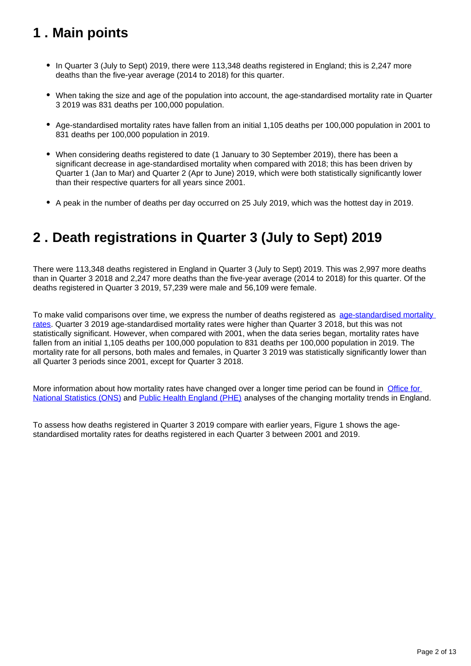## <span id="page-1-0"></span>**1 . Main points**

- In Quarter 3 (July to Sept) 2019, there were 113,348 deaths registered in England; this is 2,247 more deaths than the five-year average (2014 to 2018) for this quarter.
- When taking the size and age of the population into account, the age-standardised mortality rate in Quarter 3 2019 was 831 deaths per 100,000 population.
- Age-standardised mortality rates have fallen from an initial 1,105 deaths per 100,000 population in 2001 to 831 deaths per 100,000 population in 2019.
- When considering deaths registered to date (1 January to 30 September 2019), there has been a significant decrease in age-standardised mortality when compared with 2018; this has been driven by Quarter 1 (Jan to Mar) and Quarter 2 (Apr to June) 2019, which were both statistically significantly lower than their respective quarters for all years since 2001.
- A peak in the number of deaths per day occurred on 25 July 2019, which was the hottest day in 2019.

## <span id="page-1-1"></span>**2 . Death registrations in Quarter 3 (July to Sept) 2019**

There were 113,348 deaths registered in England in Quarter 3 (July to Sept) 2019. This was 2,997 more deaths than in Quarter 3 2018 and 2,247 more deaths than the five-year average (2014 to 2018) for this quarter. Of the deaths registered in Quarter 3 2019, 57,239 were male and 56,109 were female.

To make valid comparisons over time, we express the number of deaths registered as age-standardised mortality [rates](https://www.ons.gov.uk/peoplepopulationandcommunity/birthsdeathsandmarriages/deaths/articles/quarterlymortalityreports/julytoseptember2019#glossary). Quarter 3 2019 age-standardised mortality rates were higher than Quarter 3 2018, but this was not statistically significant. However, when compared with 2001, when the data series began, mortality rates have fallen from an initial 1,105 deaths per 100,000 population to 831 deaths per 100,000 population in 2019. The mortality rate for all persons, both males and females, in Quarter 3 2019 was statistically significantly lower than all Quarter 3 periods since 2001, except for Quarter 3 2018.

More information about how mortality rates have changed over a longer time period can be found in [Office for](https://www.ons.gov.uk/peoplepopulationandcommunity/birthsdeathsandmarriages/deaths/articles/changingtrendsinmortalityinenglandandwales1990to2017/experimentalstatistics)  [National Statistics \(ONS\)](https://www.ons.gov.uk/peoplepopulationandcommunity/birthsdeathsandmarriages/deaths/articles/changingtrendsinmortalityinenglandandwales1990to2017/experimentalstatistics) and [Public Health England \(PHE\)](https://assets.publishing.service.gov.uk/government/uploads/system/uploads/attachment_data/file/762623/Recent_trends_in_mortality_in_England.pdf) analyses of the changing mortality trends in England.

To assess how deaths registered in Quarter 3 2019 compare with earlier years, Figure 1 shows the agestandardised mortality rates for deaths registered in each Quarter 3 between 2001 and 2019.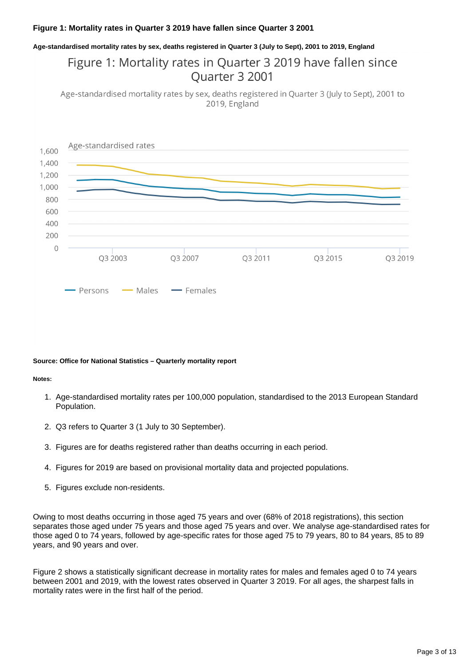#### **Figure 1: Mortality rates in Quarter 3 2019 have fallen since Quarter 3 2001**

**Age-standardised mortality rates by sex, deaths registered in Quarter 3 (July to Sept), 2001 to 2019, England**

### Figure 1: Mortality rates in Quarter 3 2019 have fallen since Ouarter 3 2001

Age-standardised mortality rates by sex, deaths registered in Quarter 3 (July to Sept), 2001 to 2019, England



#### **Source: Office for National Statistics – Quarterly mortality report**

#### **Notes:**

- 1. Age-standardised mortality rates per 100,000 population, standardised to the 2013 European Standard Population.
- 2. Q3 refers to Quarter 3 (1 July to 30 September).
- 3. Figures are for deaths registered rather than deaths occurring in each period.
- 4. Figures for 2019 are based on provisional mortality data and projected populations.
- 5. Figures exclude non-residents.

Owing to most deaths occurring in those aged 75 years and over (68% of 2018 registrations), this section separates those aged under 75 years and those aged 75 years and over. We analyse age-standardised rates for those aged 0 to 74 years, followed by age-specific rates for those aged 75 to 79 years, 80 to 84 years, 85 to 89 years, and 90 years and over.

Figure 2 shows a statistically significant decrease in mortality rates for males and females aged 0 to 74 years between 2001 and 2019, with the lowest rates observed in Quarter 3 2019. For all ages, the sharpest falls in mortality rates were in the first half of the period.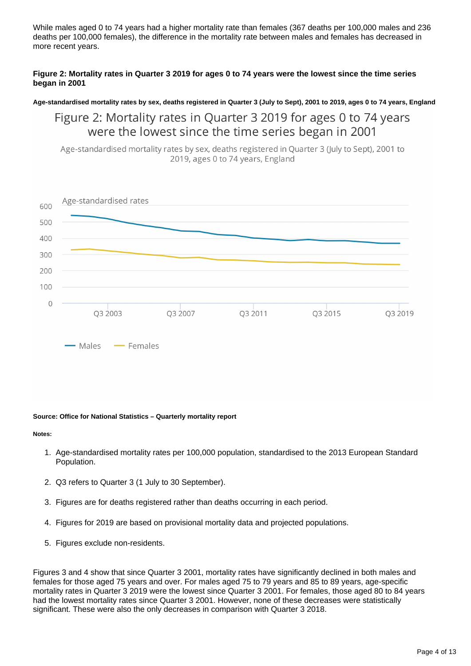While males aged 0 to 74 years had a higher mortality rate than females (367 deaths per 100,000 males and 236 deaths per 100,000 females), the difference in the mortality rate between males and females has decreased in more recent years.

#### **Figure 2: Mortality rates in Quarter 3 2019 for ages 0 to 74 years were the lowest since the time series began in 2001**

#### **Age-standardised mortality rates by sex, deaths registered in Quarter 3 (July to Sept), 2001 to 2019, ages 0 to 74 years, England**

Figure 2: Mortality rates in Quarter 3 2019 for ages 0 to 74 years were the lowest since the time series began in 2001

Age-standardised mortality rates by sex, deaths registered in Quarter 3 (July to Sept), 2001 to 2019, ages 0 to 74 years, England



#### **Source: Office for National Statistics – Quarterly mortality report**

#### **Notes:**

- 1. Age-standardised mortality rates per 100,000 population, standardised to the 2013 European Standard Population.
- 2. Q3 refers to Quarter 3 (1 July to 30 September).
- 3. Figures are for deaths registered rather than deaths occurring in each period.
- 4. Figures for 2019 are based on provisional mortality data and projected populations.
- 5. Figures exclude non-residents.

Figures 3 and 4 show that since Quarter 3 2001, mortality rates have significantly declined in both males and females for those aged 75 years and over. For males aged 75 to 79 years and 85 to 89 years, age-specific mortality rates in Quarter 3 2019 were the lowest since Quarter 3 2001. For females, those aged 80 to 84 years had the lowest mortality rates since Quarter 3 2001. However, none of these decreases were statistically significant. These were also the only decreases in comparison with Quarter 3 2018.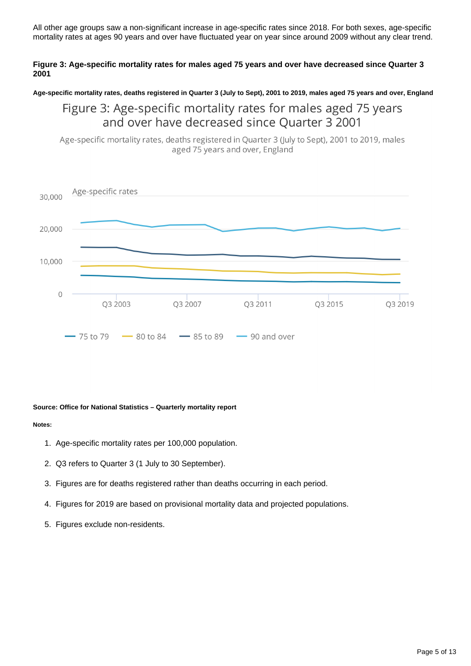All other age groups saw a non-significant increase in age-specific rates since 2018. For both sexes, age-specific mortality rates at ages 90 years and over have fluctuated year on year since around 2009 without any clear trend.

#### **Figure 3: Age-specific mortality rates for males aged 75 years and over have decreased since Quarter 3 2001**

**Age-specific mortality rates, deaths registered in Quarter 3 (July to Sept), 2001 to 2019, males aged 75 years and over, England**

### Figure 3: Age-specific mortality rates for males aged 75 years and over have decreased since Quarter 3 2001

Age-specific mortality rates, deaths registered in Quarter 3 (July to Sept), 2001 to 2019, males aged 75 years and over, England



#### **Source: Office for National Statistics – Quarterly mortality report**

#### **Notes:**

- 1. Age-specific mortality rates per 100,000 population.
- 2. Q3 refers to Quarter 3 (1 July to 30 September).
- 3. Figures are for deaths registered rather than deaths occurring in each period.
- 4. Figures for 2019 are based on provisional mortality data and projected populations.
- 5. Figures exclude non-residents.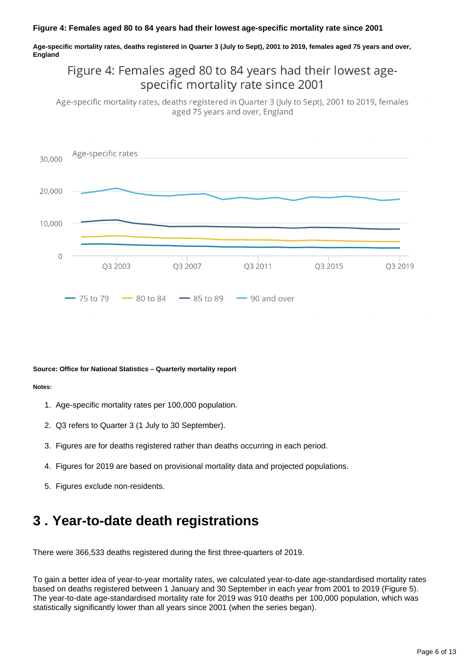#### **Figure 4: Females aged 80 to 84 years had their lowest age-specific mortality rate since 2001**

**Age-specific mortality rates, deaths registered in Quarter 3 (July to Sept), 2001 to 2019, females aged 75 years and over, England**

### Figure 4: Females aged 80 to 84 years had their lowest agespecific mortality rate since 2001

Age-specific mortality rates, deaths registered in Quarter 3 (July to Sept), 2001 to 2019, females aged 75 years and over, England



#### **Source: Office for National Statistics – Quarterly mortality report**

#### **Notes:**

- 1. Age-specific mortality rates per 100,000 population.
- 2. Q3 refers to Quarter 3 (1 July to 30 September).
- 3. Figures are for deaths registered rather than deaths occurring in each period.
- 4. Figures for 2019 are based on provisional mortality data and projected populations.
- 5. Figures exclude non-residents.

## <span id="page-5-0"></span>**3 . Year-to-date death registrations**

There were 366,533 deaths registered during the first three-quarters of 2019.

To gain a better idea of year-to-year mortality rates, we calculated year-to-date age-standardised mortality rates based on deaths registered between 1 January and 30 September in each year from 2001 to 2019 (Figure 5). The year-to-date age-standardised mortality rate for 2019 was 910 deaths per 100,000 population, which was statistically significantly lower than all years since 2001 (when the series began).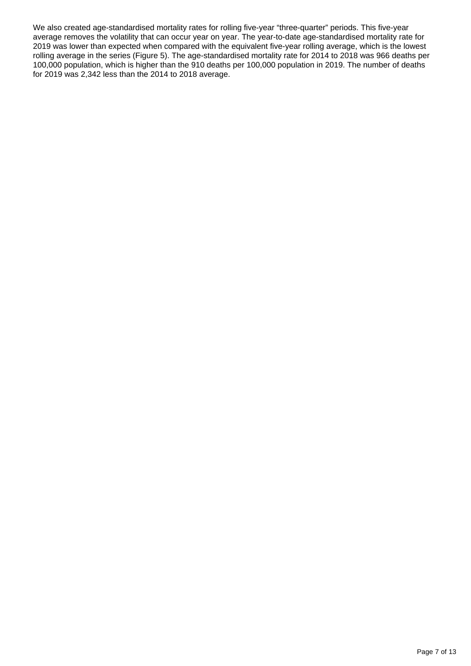We also created age-standardised mortality rates for rolling five-year "three-quarter" periods. This five-year average removes the volatility that can occur year on year. The year-to-date age-standardised mortality rate for 2019 was lower than expected when compared with the equivalent five-year rolling average, which is the lowest rolling average in the series (Figure 5). The age-standardised mortality rate for 2014 to 2018 was 966 deaths per 100,000 population, which is higher than the 910 deaths per 100,000 population in 2019. The number of deaths for 2019 was 2,342 less than the 2014 to 2018 average.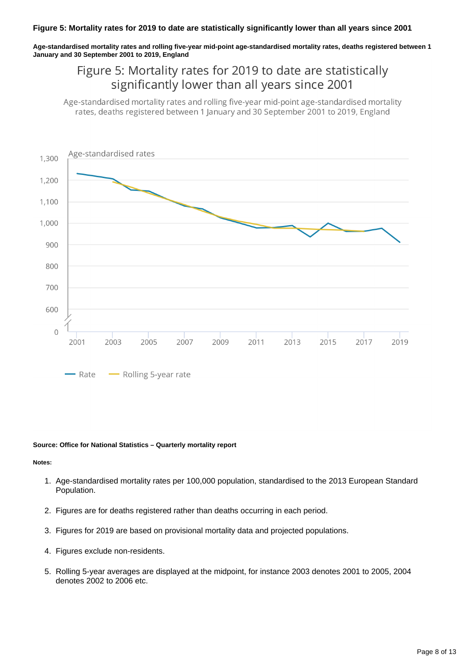#### **Figure 5: Mortality rates for 2019 to date are statistically significantly lower than all years since 2001**

**Age-standardised mortality rates and rolling five-year mid-point age-standardised mortality rates, deaths registered between 1 January and 30 September 2001 to 2019, England**

### Figure 5: Mortality rates for 2019 to date are statistically significantly lower than all years since 2001

Age-standardised mortality rates and rolling five-year mid-point age-standardised mortality rates, deaths registered between 1 January and 30 September 2001 to 2019, England



#### **Source: Office for National Statistics – Quarterly mortality report**

#### **Notes:**

- 1. Age-standardised mortality rates per 100,000 population, standardised to the 2013 European Standard Population.
- 2. Figures are for deaths registered rather than deaths occurring in each period.
- 3. Figures for 2019 are based on provisional mortality data and projected populations.
- 4. Figures exclude non-residents.
- 5. Rolling 5-year averages are displayed at the midpoint, for instance 2003 denotes 2001 to 2005, 2004 denotes 2002 to 2006 etc.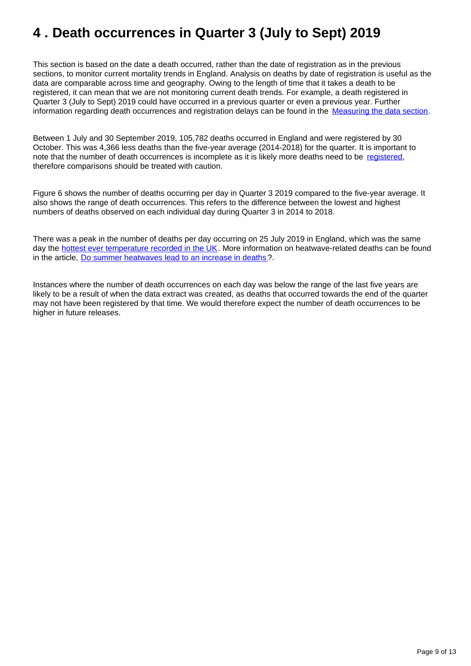## <span id="page-8-0"></span>**4 . Death occurrences in Quarter 3 (July to Sept) 2019**

This section is based on the date a death occurred, rather than the date of registration as in the previous sections, to monitor current mortality trends in England. Analysis on deaths by date of registration is useful as the data are comparable across time and geography. Owing to the length of time that it takes a death to be registered, it can mean that we are not monitoring current death trends. For example, a death registered in Quarter 3 (July to Sept) 2019 could have occurred in a previous quarter or even a previous year. Further information regarding death occurrences and registration delays can be found in the [Measuring the data section.](https://www.ons.gov.uk/peoplepopulationandcommunity/birthsdeathsandmarriages/deaths/articles/quarterlymortalityreports/julytoseptember2019#measuring-the-data)

Between 1 July and 30 September 2019, 105,782 deaths occurred in England and were registered by 30 October. This was 4,366 less deaths than the five-year average (2014-2018) for the quarter. It is important to note that the number of death occurrences is incomplete as it is likely more deaths need to be [registered,](https://www.ons.gov.uk/peoplepopulationandcommunity/birthsdeathsandmarriages/deaths/methodologies/impactofregistrationdelaysonmortalitystatistics2016) therefore comparisons should be treated with caution.

Figure 6 shows the number of deaths occurring per day in Quarter 3 2019 compared to the five-year average. It also shows the range of death occurrences. This refers to the difference between the lowest and highest numbers of deaths observed on each individual day during Quarter 3 in 2014 to 2018.

There was a peak in the number of deaths per day occurring on 25 July 2019 in England, which was the same day the [hottest ever temperature recorded in the UK.](https://www.metoffice.gov.uk/about-us/press-office/news/weather-and-climate/2019/summer-2019-statistics) More information on heatwave-related deaths can be found in the article, [Do summer heatwaves lead to an increase in deaths](https://www.ons.gov.uk/peoplepopulationandcommunity/healthandsocialcare/causesofdeath/articles/dosummerheatwavesleadtoanincreaseindeaths/2019-10-07)?.

Instances where the number of death occurrences on each day was below the range of the last five years are likely to be a result of when the data extract was created, as deaths that occurred towards the end of the quarter may not have been registered by that time. We would therefore expect the number of death occurrences to be higher in future releases.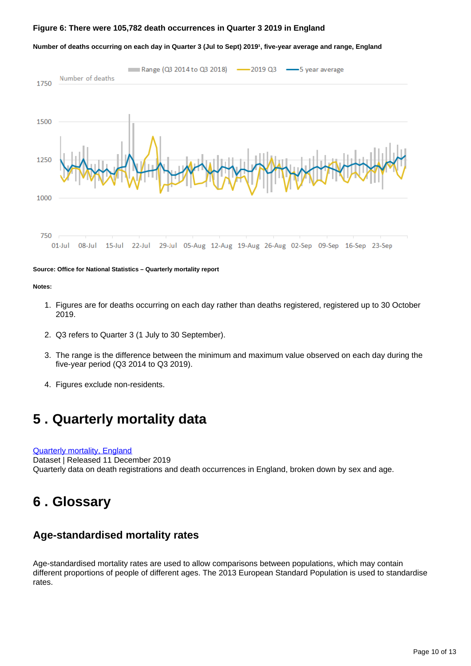#### **Figure 6: There were 105,782 death occurrences in Quarter 3 2019 in England**

#### Number of deaths occurring on each day in Quarter 3 (Jul to Sept) 2019<sup>1</sup>, five-year average and range, England



**Source: Office for National Statistics – Quarterly mortality report**

**Notes:**

- 1. Figures are for deaths occurring on each day rather than deaths registered, registered up to 30 October 2019.
- 2. Q3 refers to Quarter 3 (1 July to 30 September).
- 3. The range is the difference between the minimum and maximum value observed on each day during the five-year period (Q3 2014 to Q3 2019).
- 4. Figures exclude non-residents.

## <span id="page-9-0"></span>**5 . Quarterly mortality data**

[Quarterly mortality, England](https://www.ons.gov.uk/peoplepopulationandcommunity/birthsdeathsandmarriages/deaths/datasets/quarterlymortalityreportsanalysis) Dataset | Released 11 December 2019 Quarterly data on death registrations and death occurrences in England, broken down by sex and age.

## <span id="page-9-1"></span>**6 . Glossary**

### **Age-standardised mortality rates**

Age-standardised mortality rates are used to allow comparisons between populations, which may contain different proportions of people of different ages. The 2013 European Standard Population is used to standardise rates.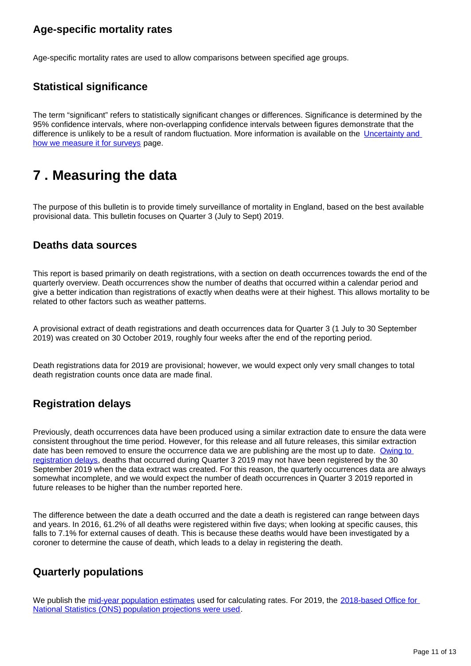### **Age-specific mortality rates**

Age-specific mortality rates are used to allow comparisons between specified age groups.

### **Statistical significance**

The term "significant" refers to statistically significant changes or differences. Significance is determined by the 95% confidence intervals, where non-overlapping confidence intervals between figures demonstrate that the difference is unlikely to be a result of random fluctuation. More information is available on the Uncertainty and [how we measure it for surveys](https://www.ons.gov.uk/methodology/methodologytopicsandstatisticalconcepts/uncertaintyandhowwemeasureit#statistical-significance) page.

## <span id="page-10-0"></span>**7 . Measuring the data**

The purpose of this bulletin is to provide timely surveillance of mortality in England, based on the best available provisional data. This bulletin focuses on Quarter 3 (July to Sept) 2019.

### **Deaths data sources**

This report is based primarily on death registrations, with a section on death occurrences towards the end of the quarterly overview. Death occurrences show the number of deaths that occurred within a calendar period and give a better indication than registrations of exactly when deaths were at their highest. This allows mortality to be related to other factors such as weather patterns.

A provisional extract of death registrations and death occurrences data for Quarter 3 (1 July to 30 September 2019) was created on 30 October 2019, roughly four weeks after the end of the reporting period.

Death registrations data for 2019 are provisional; however, we would expect only very small changes to total death registration counts once data are made final.

### **Registration delays**

Previously, death occurrences data have been produced using a similar extraction date to ensure the data were consistent throughout the time period. However, for this release and all future releases, this similar extraction date has been removed to ensure the occurrence data we are publishing are the most up to date. [Owing to](https://www.ons.gov.uk/peoplepopulationandcommunity/birthsdeathsandmarriages/deaths/methodologies/impactofregistrationdelaysonmortalitystatistics2016)  [registration delays,](https://www.ons.gov.uk/peoplepopulationandcommunity/birthsdeathsandmarriages/deaths/methodologies/impactofregistrationdelaysonmortalitystatistics2016) deaths that occurred during Quarter 3 2019 may not have been registered by the 30 September 2019 when the data extract was created. For this reason, the quarterly occurrences data are always somewhat incomplete, and we would expect the number of death occurrences in Quarter 3 2019 reported in future releases to be higher than the number reported here.

The difference between the date a death occurred and the date a death is registered can range between days and years. In 2016, 61.2% of all deaths were registered within five days; when looking at specific causes, this falls to 7.1% for external causes of death. This is because these deaths would have been investigated by a coroner to determine the cause of death, which leads to a delay in registering the death.

### **Quarterly populations**

We publish the [mid-year population estimates](https://www.ons.gov.uk/peoplepopulationandcommunity/populationandmigration/populationestimates/datasets/populationestimatesforukenglandandwalesscotlandandnorthernireland) used for calculating rates. For 2019, the 2018-based Office for [National Statistics \(ONS\) population projections were used](https://www.ons.gov.uk/peoplepopulationandcommunity/populationandmigration/populationprojections/datasets/z3zippedpopulationprojectionsdatafilesengland).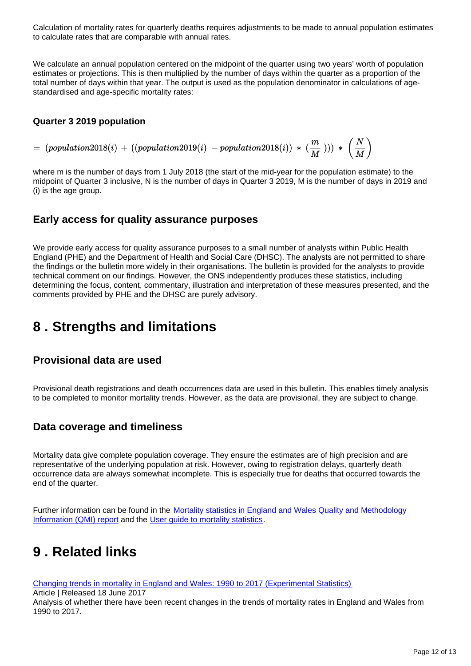Calculation of mortality rates for quarterly deaths requires adjustments to be made to annual population estimates to calculate rates that are comparable with annual rates.

We calculate an annual population centered on the midpoint of the quarter using two years' worth of population estimates or projections. This is then multiplied by the number of days within the quarter as a proportion of the total number of days within that year. The output is used as the population denominator in calculations of agestandardised and age-specific mortality rates:

#### **Quarter 3 2019 population**

 $\begin{array}{l} \hbox{ \hskip 1pt $\leftarrow$} \quad (population 2018(i) + ((population 2019(i) \hskip-3pt - population 2018(i)) * (\frac{m}{M}))) * (\frac{N}{M}) \end{array}$ 

where m is the number of days from 1 July 2018 (the start of the mid-year for the population estimate) to the midpoint of Quarter 3 inclusive, N is the number of days in Quarter 3 2019, M is the number of days in 2019 and (i) is the age group.

### **Early access for quality assurance purposes**

We provide early access for quality assurance purposes to a small number of analysts within Public Health England (PHE) and the Department of Health and Social Care (DHSC). The analysts are not permitted to share the findings or the bulletin more widely in their organisations. The bulletin is provided for the analysts to provide technical comment on our findings. However, the ONS independently produces these statistics, including determining the focus, content, commentary, illustration and interpretation of these measures presented, and the comments provided by PHE and the DHSC are purely advisory.

## <span id="page-11-0"></span>**8 . Strengths and limitations**

### **Provisional data are used**

Provisional death registrations and death occurrences data are used in this bulletin. This enables timely analysis to be completed to monitor mortality trends. However, as the data are provisional, they are subject to change.

### **Data coverage and timeliness**

Mortality data give complete population coverage. They ensure the estimates are of high precision and are representative of the underlying population at risk. However, owing to registration delays, quarterly death occurrence data are always somewhat incomplete. This is especially true for deaths that occurred towards the end of the quarter.

Further information can be found in the [Mortality statistics in England and Wales Quality and Methodology](https://www.ons.gov.uk/peoplepopulationandcommunity/birthsdeathsandmarriages/deaths/methodologies/mortalitystatisticsinenglandandwalesqmi)  [Information \(QMI\) report](https://www.ons.gov.uk/peoplepopulationandcommunity/birthsdeathsandmarriages/deaths/methodologies/mortalitystatisticsinenglandandwalesqmi) and the [User guide to mortality statistics.](https://www.ons.gov.uk/peoplepopulationandcommunity/birthsdeathsandmarriages/deaths/methodologies/userguidetomortalitystatisticsjuly2017)

## <span id="page-11-1"></span>**9 . Related links**

[Changing trends in mortality in England and Wales: 1990 to 2017 \(Experimental Statistics\)](https://www.ons.gov.uk/peoplepopulationandcommunity/birthsdeathsandmarriages/deaths/articles/changingtrendsinmortalityinenglandandwales1990to2017/experimentalstatistics)

Article | Released 18 June 2017

Analysis of whether there have been recent changes in the trends of mortality rates in England and Wales from 1990 to 2017.